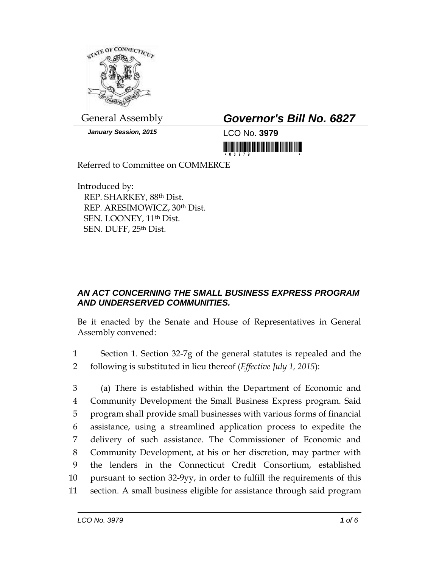

*January Session, 2015* LCO No. **3979**

## General Assembly *Governor's Bill No. 6827*

<u> Harry Harry Harry Harry Harry Harry Harry Harry Harry Harry Harry Harry Harry Harry Harry Harry Harry Harry Harry Harry Harry Harry Harry Harry Harry Harry Harry Harry Harry Harry Harry Harry Harry Harry Harry Harry Harr</u>

Referred to Committee on COMMERCE

Introduced by: REP. SHARKEY, 88th Dist. REP. ARESIMOWICZ, 30th Dist. SEN. LOONEY, 11th Dist. SEN. DUFF, 25th Dist.

## *AN ACT CONCERNING THE SMALL BUSINESS EXPRESS PROGRAM AND UNDERSERVED COMMUNITIES.*

Be it enacted by the Senate and House of Representatives in General Assembly convened:

1 Section 1. Section 32-7g of the general statutes is repealed and the 2 following is substituted in lieu thereof (*Effective July 1, 2015*):

 (a) There is established within the Department of Economic and Community Development the Small Business Express program. Said program shall provide small businesses with various forms of financial assistance, using a streamlined application process to expedite the delivery of such assistance. The Commissioner of Economic and Community Development, at his or her discretion, may partner with the lenders in the Connecticut Credit Consortium, established pursuant to section 32-9yy, in order to fulfill the requirements of this section. A small business eligible for assistance through said program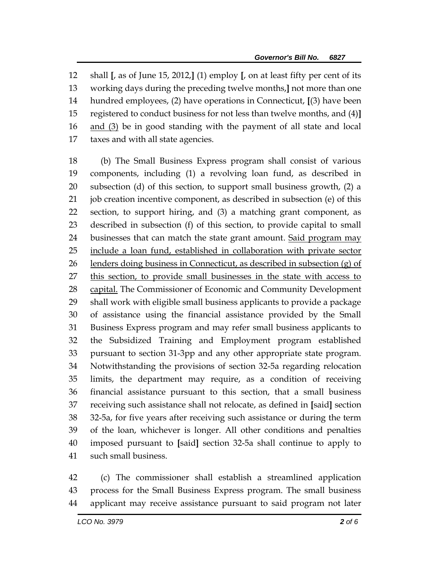shall **[**, as of June 15, 2012,**]** (1) employ **[**, on at least fifty per cent of its working days during the preceding twelve months,**]** not more than one hundred employees, (2) have operations in Connecticut, **[**(3) have been registered to conduct business for not less than twelve months, and (4)**]** 16 and (3) be in good standing with the payment of all state and local taxes and with all state agencies.

 (b) The Small Business Express program shall consist of various components, including (1) a revolving loan fund, as described in subsection (d) of this section, to support small business growth, (2) a job creation incentive component, as described in subsection (e) of this section, to support hiring, and (3) a matching grant component, as described in subsection (f) of this section, to provide capital to small 24 businesses that can match the state grant amount. Said program may include a loan fund, established in collaboration with private sector 26 lenders doing business in Connecticut, as described in subsection (g) of this section, to provide small businesses in the state with access to capital. The Commissioner of Economic and Community Development shall work with eligible small business applicants to provide a package of assistance using the financial assistance provided by the Small Business Express program and may refer small business applicants to the Subsidized Training and Employment program established pursuant to section 31-3pp and any other appropriate state program. Notwithstanding the provisions of section 32-5a regarding relocation limits, the department may require, as a condition of receiving financial assistance pursuant to this section, that a small business receiving such assistance shall not relocate, as defined in **[**said**]** section 32-5a, for five years after receiving such assistance or during the term of the loan, whichever is longer. All other conditions and penalties imposed pursuant to **[**said**]** section 32-5a shall continue to apply to such small business.

 (c) The commissioner shall establish a streamlined application process for the Small Business Express program. The small business applicant may receive assistance pursuant to said program not later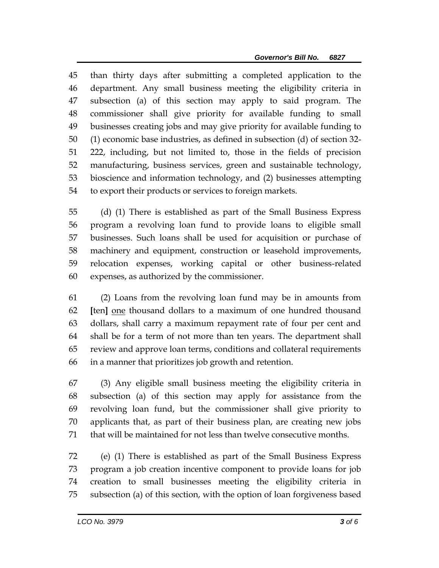than thirty days after submitting a completed application to the department. Any small business meeting the eligibility criteria in subsection (a) of this section may apply to said program. The commissioner shall give priority for available funding to small businesses creating jobs and may give priority for available funding to (1) economic base industries, as defined in subsection (d) of section 32- 222, including, but not limited to, those in the fields of precision manufacturing, business services, green and sustainable technology, bioscience and information technology, and (2) businesses attempting to export their products or services to foreign markets.

 (d) (1) There is established as part of the Small Business Express program a revolving loan fund to provide loans to eligible small businesses. Such loans shall be used for acquisition or purchase of machinery and equipment, construction or leasehold improvements, relocation expenses, working capital or other business-related expenses, as authorized by the commissioner.

 (2) Loans from the revolving loan fund may be in amounts from **[**ten**]** one thousand dollars to a maximum of one hundred thousand dollars, shall carry a maximum repayment rate of four per cent and shall be for a term of not more than ten years. The department shall review and approve loan terms, conditions and collateral requirements in a manner that prioritizes job growth and retention.

 (3) Any eligible small business meeting the eligibility criteria in subsection (a) of this section may apply for assistance from the revolving loan fund, but the commissioner shall give priority to applicants that, as part of their business plan, are creating new jobs that will be maintained for not less than twelve consecutive months.

 (e) (1) There is established as part of the Small Business Express program a job creation incentive component to provide loans for job creation to small businesses meeting the eligibility criteria in subsection (a) of this section, with the option of loan forgiveness based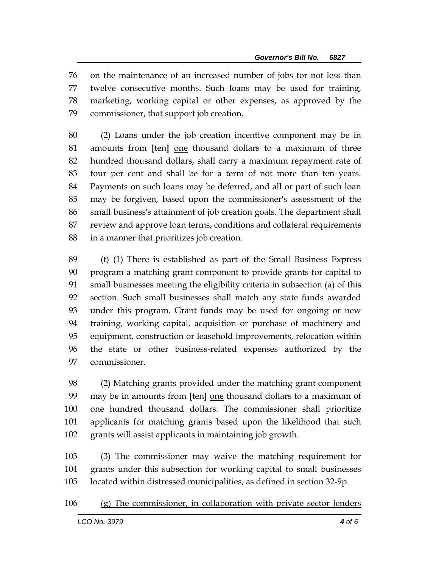on the maintenance of an increased number of jobs for not less than twelve consecutive months. Such loans may be used for training, marketing, working capital or other expenses, as approved by the commissioner, that support job creation.

 (2) Loans under the job creation incentive component may be in amounts from **[**ten**]** one thousand dollars to a maximum of three hundred thousand dollars, shall carry a maximum repayment rate of four per cent and shall be for a term of not more than ten years. Payments on such loans may be deferred, and all or part of such loan may be forgiven, based upon the commissioner's assessment of the small business's attainment of job creation goals. The department shall review and approve loan terms, conditions and collateral requirements in a manner that prioritizes job creation.

 (f) (1) There is established as part of the Small Business Express program a matching grant component to provide grants for capital to small businesses meeting the eligibility criteria in subsection (a) of this section. Such small businesses shall match any state funds awarded under this program. Grant funds may be used for ongoing or new training, working capital, acquisition or purchase of machinery and equipment, construction or leasehold improvements, relocation within the state or other business-related expenses authorized by the commissioner.

 (2) Matching grants provided under the matching grant component may be in amounts from **[**ten**]** one thousand dollars to a maximum of one hundred thousand dollars. The commissioner shall prioritize applicants for matching grants based upon the likelihood that such grants will assist applicants in maintaining job growth.

 (3) The commissioner may waive the matching requirement for grants under this subsection for working capital to small businesses located within distressed municipalities, as defined in section 32-9p.

## (g) The commissioner, in collaboration with private sector lenders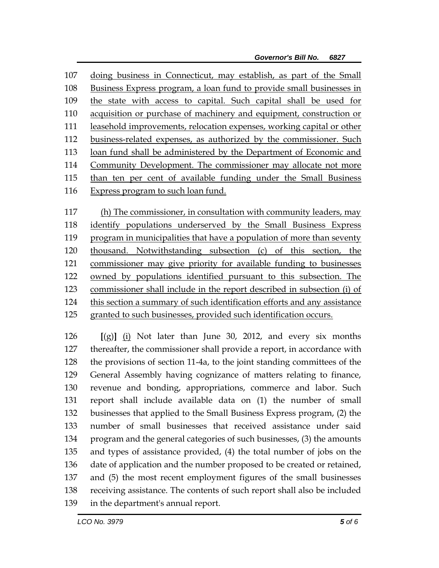doing business in Connecticut, may establish, as part of the Small Business Express program, a loan fund to provide small businesses in 109 the state with access to capital. Such capital shall be used for acquisition or purchase of machinery and equipment, construction or leasehold improvements, relocation expenses, working capital or other business-related expenses, as authorized by the commissioner. Such loan fund shall be administered by the Department of Economic and Community Development. The commissioner may allocate not more than ten per cent of available funding under the Small Business 116 Express program to such loan fund.

 (h) The commissioner, in consultation with community leaders, may identify populations underserved by the Small Business Express program in municipalities that have a population of more than seventy thousand. Notwithstanding subsection (c) of this section, the commissioner may give priority for available funding to businesses owned by populations identified pursuant to this subsection. The commissioner shall include in the report described in subsection (i) of this section a summary of such identification efforts and any assistance 125 granted to such businesses, provided such identification occurs.

 **[**(g)**]** (i) Not later than June 30, 2012, and every six months thereafter, the commissioner shall provide a report, in accordance with the provisions of section 11-4a, to the joint standing committees of the General Assembly having cognizance of matters relating to finance, revenue and bonding, appropriations, commerce and labor. Such report shall include available data on (1) the number of small businesses that applied to the Small Business Express program, (2) the number of small businesses that received assistance under said program and the general categories of such businesses, (3) the amounts and types of assistance provided, (4) the total number of jobs on the date of application and the number proposed to be created or retained, and (5) the most recent employment figures of the small businesses receiving assistance. The contents of such report shall also be included in the department's annual report.